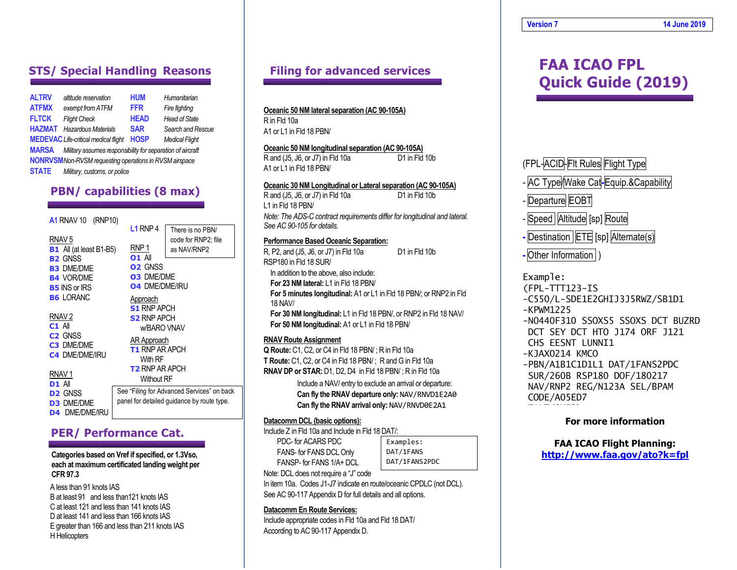| <b>ALTRV</b> | altitude reservation                                           | <b>HUM</b>  | Humanitarian          |
|--------------|----------------------------------------------------------------|-------------|-----------------------|
| <b>ATFMX</b> | exempt from ATFM                                               | <b>FFR</b>  | Fire fighting         |
| <b>FLTCK</b> | <b>Flight Check</b>                                            | <b>HEAD</b> | <b>Head of State</b>  |
| HAZMAT       | <b>Hazardous Materials</b>                                     | <b>SAR</b>  | Search and Rescue     |
|              | <b>MEDEVAC</b> Life-critical medical flight                    | <b>HOSP</b> | <b>Medical Flight</b> |
| MARSA        | Military assumes responsibility for separation of aircraft     |             |                       |
|              | <b>NONRVSM</b> Non-RVSM requesting operations in RVSM airspace |             |                       |
| STATE        | Military, customs, or police                                   |             |                       |

# **PBN/ capabilities (8 max)**

#### **A1** RNAV 10 (RNP10)

|                                | L1 RNP 4                                   | There is no PBN/                           |  |
|--------------------------------|--------------------------------------------|--------------------------------------------|--|
| RNAV <sub>5</sub>              |                                            | code for RNP2; file                        |  |
| <b>B1</b> All (at least B1-B5) | RNP 1                                      | as NAV/RNP2                                |  |
| <b>B2 GNSS</b>                 | <b>01 All</b>                              |                                            |  |
| <b>B3 DME/DME</b>              | <b>O<sub>2</sub></b> GNSS                  |                                            |  |
| <b>B4 VOR/DME</b>              | <b>03 DME/DME</b><br><b>04 DME/DME/IRU</b> |                                            |  |
| <b>B5</b> INS or IRS           |                                            |                                            |  |
| <b>B6 LORANC</b>               | Approach                                   |                                            |  |
|                                | <b>S1 RNP APCH</b>                         |                                            |  |
| RNAV <sub>2</sub>              | <b>S2 RNP APCH</b>                         |                                            |  |
| $C1$ All                       | w/BARO VNAV                                |                                            |  |
| C <sub>2</sub> GNSS            | AR Approach                                |                                            |  |
| <b>C3 DME/DME</b>              | <b>T1 RNP AR APCH</b>                      |                                            |  |
| <b>C4 DME/DME/IRU</b>          | With RF                                    |                                            |  |
|                                | <b>T2 RNP AR APCH</b>                      |                                            |  |
| RNAV <sub>1</sub>              |                                            |                                            |  |
| <b>D1 All</b>                  | <b>Without RF</b>                          |                                            |  |
| <b>D<sub>2</sub></b> GNSS      |                                            | See "Filing for Advanced Services" on back |  |
| <b>D3 DME/DME</b>              | panel for detailed guidance by route type. |                                            |  |
| <b>D4 DME/DME/IRU</b>          |                                            |                                            |  |
|                                |                                            |                                            |  |

**L1** RNP 4

### **PER/ Performance Cat.**

#### **Categories based on Vref if specified, or 1.3Vso, each at maximum certificated landing weight per CFR 97.3**

A less than 91 knots IAS B at least 91 and less than121 knots IAS C at least 121 and less than 141 knots IAS D at least 141 and less than 166 knots IAS E greater than 166 and less than 211 knots IAS H Helicopters

# **Filing for advanced services**

#### **Oceanic 50 NM lateral separation (AC 90-105A)**

R in Fld 10a A1 or L1 in Fld 18 PBN/

#### **Oceanic 50 NM longitudinal separation (AC 90-105A)**

R and (J5, J6, or J7) in Fld 10a D1 in Fld 10b A1 or L1 in Fld 18 PBN/

#### **Oceanic 30 NM Longitudinal or Lateral separation (AC 90-105A)**

R and (J5, J6, or J7) in Fld 10a D1 in Fld 10b L1 in Fld 18 PBN/ *Note: The ADS-C contract requirements differ for longitudinal and lateral. See AC 90-105 for details.*

#### **Performance Based Oceanic Separation:**

R, P2, and (J5, J6, or J7) in Fld 10a D1 in Fld 10b RSP180 in Fld 18 SUR/ In addition to the above, also include: **For 23 NM lateral:** L1 in Fld 18 PBN/ **For 5 minutes longitudinal:** A1 or L1 in Fld 18 PBN/; or RNP2 in Fld 18 NAV/ **For 30 NM longitudinal:** L1 in Fld 18 PBN/, or RNP2 in Fld 18 NAV/ **For 50 NM longitudinal:** A1 or L1 in Fld 18 PBN/

#### **RNAV Route Assignment**

**Q Route:** C1, C2, or C4 in Fld 18 PBN/ ; R in Fld 10a **T Route:** C1, C2, or C4 in Fld 18 PBN/ ; R and G in Fld 10a **RNAV DP or STAR:** D1, D2, D4 in Fld 18 PBN/ ; R in Fld 10a

> Include a NAV/ entry to exclude an arrival or departure: **Can fly the RNAV departure only:** NAV/RNVD1E2A0 **Can fly the RNAV arrival only:** NAV/RNVD0E2A1

#### **Datacomm DCL (basic options):**

Include Z in Fld 10a and Include in Fld 18 DAT/:

PDC- for ACARS PDC FANS- for FANS DCL Only FANSP- for FANS 1/A+ DCL Examples: DAT/1FANS DAT/1FANS2PDC

Note: DCL does not require a "J" code

In item 10a. Codes J1-J7 indicate en route/oceanic CPDLC (not DCL). See AC 90-117 Appendix D for full details and all options.

#### **Datacomm En Route Services:**

Include appropriate codes in Fld 10a and Fld 18 DAT/ According to AC 90-117 Appendix D.

# **STS/ Special Handling Reasons** Filing for advanced services **FAA ICAO FPL Quick Guide (2019)**

## (FPL-ACID-Fit Rules Flight Type

- AC Type/Wake Cat**-**Equip.&Capability

Departure EOBT

- Speed Altitude [sp] Route
- Destination | ETE [sp] Alternate(s)

**-** Other Information )

#### Example:

(FPL-TTT123-IS

- -C550/L-SDE1E2GHIJ3J5RWZ/SB1D1
- -KPWM1225
- -N0440F310 SSOXS5 SSOXS DCT BUZRD DCT SEY DCT HTO J174 ORF J121 CHS EESNT LUNNI1
- -KJAX0214 KMCO
- -PBN/A1B1C1D1L1 DAT/1FANS2PDC SUR/260B RSP180 DOF/180217 NAV/RNP2 REG/N123A SEL/BPAM CODE/A05ED7

#### **For more information**

# **FAA ICAO Flight Planning:**

**<http://www.faa.gov/ato?k=fpl>**